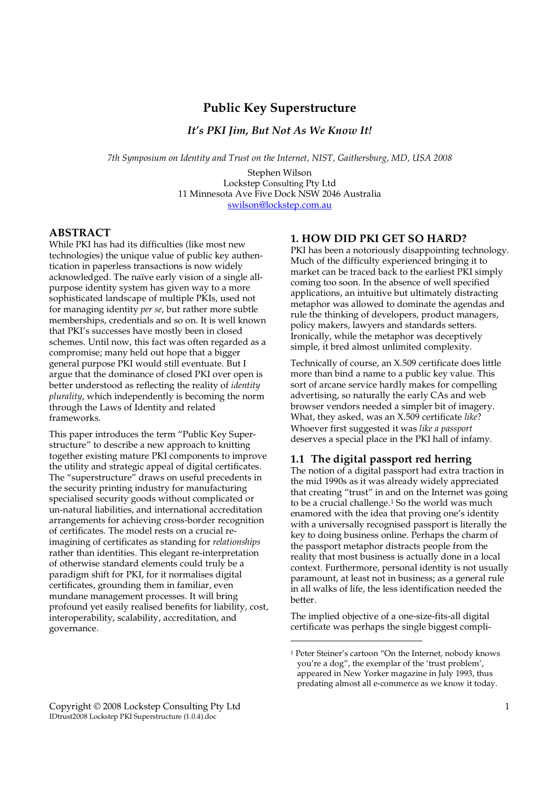# **Public Key Superstructure**

*It's PKI Jim, But Not As We Know It!* 

*7th Symposium on Identity and Trust on the Internet, NIST, Gaithersburg, MD, USA 2008* 

Stephen Wilson Lockstep Consulting Pty Ltd 11 Minnesota Ave Five Dock NSW 2046 Australia swilson@lockstep.com.au

# **ABSTRACT**

While PKI has had its difficulties (like most new technologies) the unique value of public key authentication in paperless transactions is now widely acknowledged. The naïve early vision of a single allpurpose identity system has given way to a more sophisticated landscape of multiple PKIs, used not for managing identity *per se*, but rather more subtle memberships, credentials and so on. It is well known that PKI's successes have mostly been in closed schemes. Until now, this fact was often regarded as a compromise; many held out hope that a bigger general purpose PKI would still eventuate. But I argue that the dominance of closed PKI over open is better understood as reflecting the reality of *identity plurality*, which independently is becoming the norm through the Laws of Identity and related frameworks.

This paper introduces the term "Public Key Superstructure" to describe a new approach to knitting together existing mature PKI components to improve the utility and strategic appeal of digital certificates. The "superstructure" draws on useful precedents in the security printing industry for manufacturing specialised security goods without complicated or un-natural liabilities, and international accreditation arrangements for achieving cross-border recognition of certificates. The model rests on a crucial reimagining of certificates as standing for *relationships* rather than identities. This elegant re-interpretation of otherwise standard elements could truly be a paradigm shift for PKI, for it normalises digital certificates, grounding them in familiar, even mundane management processes. It will bring profound yet easily realised benefits for liability, cost, interoperability, scalability, accreditation, and governance.

# **1. HOW DID PKI GET SO HARD?**

PKI has been a notoriously disappointing technology. Much of the difficulty experienced bringing it to market can be traced back to the earliest PKI simply coming too soon. In the absence of well specified applications, an intuitive but ultimately distracting metaphor was allowed to dominate the agendas and rule the thinking of developers, product managers, policy makers, lawyers and standards setters. Ironically, while the metaphor was deceptively simple, it bred almost unlimited complexity.

Technically of course, an X.509 certificate does little more than bind a name to a public key value. This sort of arcane service hardly makes for compelling advertising, so naturally the early CAs and web browser vendors needed a simpler bit of imagery. What, they asked, was an X.509 certificate *like*? Whoever first suggested it was *like a passport* deserves a special place in the PKI hall of infamy.

### **1.1 The digital passport red herring**

The notion of a digital passport had extra traction in the mid 1990s as it was already widely appreciated that creating "trust" in and on the Internet was going to be a crucial challenge.<sup>1</sup> So the world was much enamored with the idea that proving one's identity with a universally recognised passport is literally the key to doing business online. Perhaps the charm of the passport metaphor distracts people from the reality that most business is actually done in a local context. Furthermore, personal identity is not usually paramount, at least not in business; as a general rule in all walks of life, the less identification needed the better.

The implied objective of a one-size-fits-all digital certificate was perhaps the single biggest compli-

<sup>1</sup> Peter Steiner's cartoon "On the Internet, nobody knows you're a dog", the exemplar of the 'trust problem', appeared in New Yorker magazine in July 1993, thus predating almost all e-commerce as we know it today.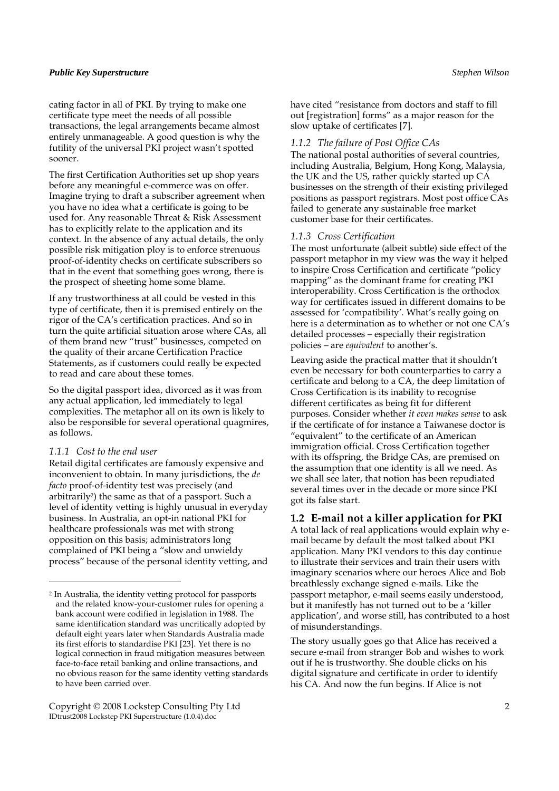cating factor in all of PKI. By trying to make one certificate type meet the needs of all possible transactions, the legal arrangements became almost entirely unmanageable. A good question is why the futility of the universal PKI project wasn't spotted sooner.

The first Certification Authorities set up shop years before any meaningful e-commerce was on offer. Imagine trying to draft a subscriber agreement when you have no idea what a certificate is going to be used for. Any reasonable Threat & Risk Assessment has to explicitly relate to the application and its context. In the absence of any actual details, the only possible risk mitigation ploy is to enforce strenuous proof-of-identity checks on certificate subscribers so that in the event that something goes wrong, there is the prospect of sheeting home some blame.

If any trustworthiness at all could be vested in this type of certificate, then it is premised entirely on the rigor of the CA's certification practices. And so in turn the quite artificial situation arose where CAs, all of them brand new "trust" businesses, competed on the quality of their arcane Certification Practice Statements, as if customers could really be expected to read and care about these tomes.

So the digital passport idea, divorced as it was from any actual application, led immediately to legal complexities. The metaphor all on its own is likely to also be responsible for several operational quagmires, as follows.

#### *1.1.1 Cost to the end user*

j

Retail digital certificates are famously expensive and inconvenient to obtain. In many jurisdictions, the *de facto* proof-of-identity test was precisely (and arbitrarily2) the same as that of a passport. Such a level of identity vetting is highly unusual in everyday business. In Australia, an opt-in national PKI for healthcare professionals was met with strong opposition on this basis; administrators long complained of PKI being a "slow and unwieldy process" because of the personal identity vetting, and

Copyright © 2008 Lockstep Consulting Pty Ltd 2 IDtrust2008 Lockstep PKI Superstructure (1.0.4).doc

have cited "resistance from doctors and staff to fill out [registration] forms" as a major reason for the slow uptake of certificates [7].

#### *1.1.2 The failure of Post Office CAs*

The national postal authorities of several countries, including Australia, Belgium, Hong Kong, Malaysia, the UK and the US, rather quickly started up CA businesses on the strength of their existing privileged positions as passport registrars. Most post office CAs failed to generate any sustainable free market customer base for their certificates.

#### *1.1.3 Cross Certification*

The most unfortunate (albeit subtle) side effect of the passport metaphor in my view was the way it helped to inspire Cross Certification and certificate "policy mapping" as the dominant frame for creating PKI interoperability. Cross Certification is the orthodox way for certificates issued in different domains to be assessed for 'compatibility'. What's really going on here is a determination as to whether or not one CA's detailed processes – especially their registration policies – are *equivalent* to another's.

Leaving aside the practical matter that it shouldn't even be necessary for both counterparties to carry a certificate and belong to a CA, the deep limitation of Cross Certification is its inability to recognise different certificates as being fit for different purposes. Consider whether *it even makes sense* to ask if the certificate of for instance a Taiwanese doctor is "equivalent" to the certificate of an American immigration official. Cross Certification together with its offspring, the Bridge CAs, are premised on the assumption that one identity is all we need. As we shall see later, that notion has been repudiated several times over in the decade or more since PKI got its false start.

### **1.2 E-mail not a killer application for PKI**

A total lack of real applications would explain why email became by default the most talked about PKI application. Many PKI vendors to this day continue to illustrate their services and train their users with imaginary scenarios where our heroes Alice and Bob breathlessly exchange signed e-mails. Like the passport metaphor, e-mail seems easily understood, but it manifestly has not turned out to be a 'killer application', and worse still, has contributed to a host of misunderstandings.

The story usually goes go that Alice has received a secure e-mail from stranger Bob and wishes to work out if he is trustworthy. She double clicks on his digital signature and certificate in order to identify his CA. And now the fun begins. If Alice is not

<sup>2</sup> In Australia, the identity vetting protocol for passports and the related know-your-customer rules for opening a bank account were codified in legislation in 1988. The same identification standard was uncritically adopted by default eight years later when Standards Australia made its first efforts to standardise PKI [23]. Yet there is no logical connection in fraud mitigation measures between face-to-face retail banking and online transactions, and no obvious reason for the same identity vetting standards to have been carried over.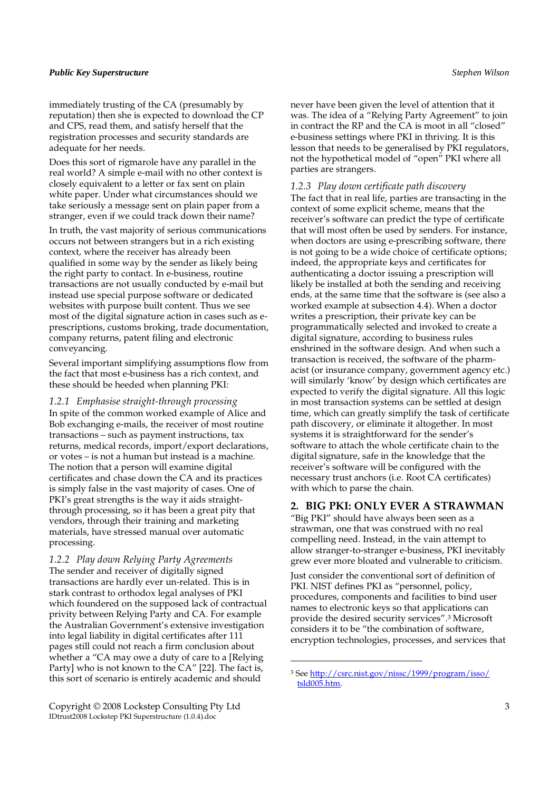immediately trusting of the CA (presumably by reputation) then she is expected to download the CP and CPS, read them, and satisfy herself that the registration processes and security standards are adequate for her needs.

Does this sort of rigmarole have any parallel in the real world? A simple e-mail with no other context is closely equivalent to a letter or fax sent on plain white paper. Under what circumstances should we take seriously a message sent on plain paper from a stranger, even if we could track down their name?

In truth, the vast majority of serious communications occurs not between strangers but in a rich existing context, where the receiver has already been qualified in some way by the sender as likely being the right party to contact. In e-business, routine transactions are not usually conducted by e-mail but instead use special purpose software or dedicated websites with purpose built content. Thus we see most of the digital signature action in cases such as eprescriptions, customs broking, trade documentation, company returns, patent filing and electronic conveyancing.

Several important simplifying assumptions flow from the fact that most e-business has a rich context, and these should be heeded when planning PKI:

*1.2.1 Emphasise straight-through processing*  In spite of the common worked example of Alice and Bob exchanging e-mails, the receiver of most routine transactions – such as payment instructions, tax returns, medical records, import/export declarations, or votes – is not a human but instead is a machine. The notion that a person will examine digital certificates and chase down the CA and its practices is simply false in the vast majority of cases. One of PKI's great strengths is the way it aids straightthrough processing, so it has been a great pity that vendors, through their training and marketing materials, have stressed manual over automatic processing.

*1.2.2 Play down Relying Party Agreements*  The sender and receiver of digitally signed transactions are hardly ever un-related. This is in stark contrast to orthodox legal analyses of PKI which foundered on the supposed lack of contractual privity between Relying Party and CA. For example the Australian Government's extensive investigation into legal liability in digital certificates after 111 pages still could not reach a firm conclusion about whether a "CA may owe a duty of care to a [Relying Party] who is not known to the CA" [22]. The fact is, this sort of scenario is entirely academic and should

Copyright © 2008 Lockstep Consulting Pty Ltd 3 IDtrust2008 Lockstep PKI Superstructure (1.0.4).doc

never have been given the level of attention that it was. The idea of a "Relying Party Agreement" to join in contract the RP and the CA is moot in all "closed" e-business settings where PKI in thriving. It is this lesson that needs to be generalised by PKI regulators, not the hypothetical model of "open" PKI where all parties are strangers.

#### *1.2.3 Play down certificate path discovery*

The fact that in real life, parties are transacting in the context of some explicit scheme, means that the receiver's software can predict the type of certificate that will most often be used by senders. For instance, when doctors are using e-prescribing software, there is not going to be a wide choice of certificate options; indeed, the appropriate keys and certificates for authenticating a doctor issuing a prescription will likely be installed at both the sending and receiving ends, at the same time that the software is (see also a worked example at subsection 4.4). When a doctor writes a prescription, their private key can be programmatically selected and invoked to create a digital signature, according to business rules enshrined in the software design. And when such a transaction is received, the software of the pharmacist (or insurance company, government agency etc.) will similarly 'know' by design which certificates are expected to verify the digital signature. All this logic in most transaction systems can be settled at design time, which can greatly simplify the task of certificate path discovery, or eliminate it altogether. In most systems it is straightforward for the sender's software to attach the whole certificate chain to the digital signature, safe in the knowledge that the receiver's software will be configured with the necessary trust anchors (i.e. Root CA certificates) with which to parse the chain.

#### **2. BIG PKI: ONLY EVER A STRAWMAN**

"Big PKI" should have always been seen as a strawman, one that was construed with no real compelling need. Instead, in the vain attempt to allow stranger-to-stranger e-business, PKI inevitably grew ever more bloated and vulnerable to criticism.

Just consider the conventional sort of definition of PKI. NIST defines PKI as "personnel, policy, procedures, components and facilities to bind user names to electronic keys so that applications can provide the desired security services".<sup>3</sup> Microsoft considers it to be "the combination of software, encryption technologies, processes, and services that

<sup>3</sup> See http://csrc.nist.gov/nissc/1999/program/isso/ tsld005.htm.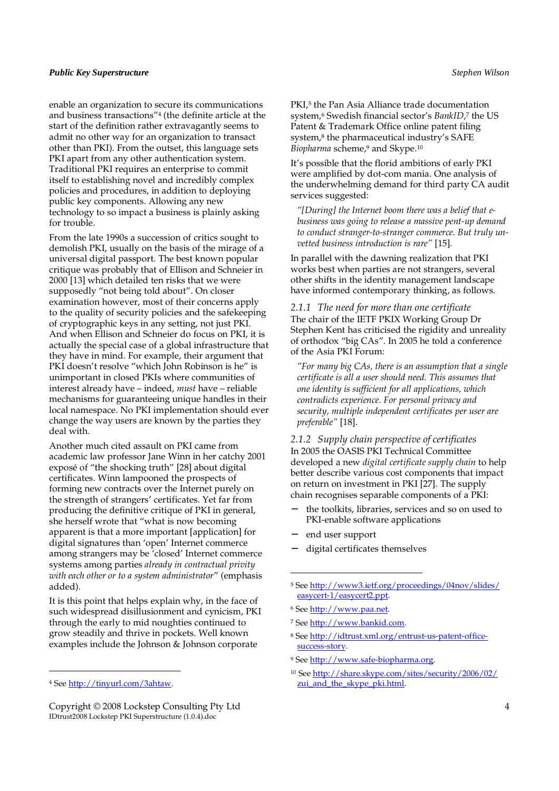enable an organization to secure its communications and business transactions"<sup>4</sup> (the definite article at the start of the definition rather extravagantly seems to admit no other way for an organization to transact other than PKI). From the outset, this language sets PKI apart from any other authentication system. Traditional PKI requires an enterprise to commit itself to establishing novel and incredibly complex policies and procedures, in addition to deploying public key components. Allowing any new technology to so impact a business is plainly asking for trouble.

From the late 1990s a succession of critics sought to demolish PKI, usually on the basis of the mirage of a universal digital passport. The best known popular critique was probably that of Ellison and Schneier in 2000 [13] which detailed ten risks that we were supposedly "not being told about". On closer examination however, most of their concerns apply to the quality of security policies and the safekeeping of cryptographic keys in any setting, not just PKI. And when Ellison and Schneier do focus on PKI, it is actually the special case of a global infrastructure that they have in mind. For example, their argument that PKI doesn't resolve "which John Robinson is he" is unimportant in closed PKIs where communities of interest already have – indeed, *must* have – reliable mechanisms for guaranteeing unique handles in their local namespace. No PKI implementation should ever change the way users are known by the parties they deal with.

Another much cited assault on PKI came from academic law professor Jane Winn in her catchy 2001 exposé of "the shocking truth" [28] about digital certificates. Winn lampooned the prospects of forming new contracts over the Internet purely on the strength of strangers' certificates. Yet far from producing the definitive critique of PKI in general, she herself wrote that "what is now becoming apparent is that a more important [application] for digital signatures than 'open' Internet commerce among strangers may be 'closed' Internet commerce systems among parties *already in contractual privity with each other or to a system administrator*" (emphasis added).

It is this point that helps explain why, in the face of such widespread disillusionment and cynicism, PKI through the early to mid noughties continued to grow steadily and thrive in pockets. Well known examples include the Johnson & Johnson corporate

 $\overline{a}$ 

PKI,<sup>5</sup> the Pan Asia Alliance trade documentation system,<sup>6</sup> Swedish financial sector's *BankID*, 7 the US Patent & Trademark Office online patent filing system,<sup>8</sup> the pharmaceutical industry's SAFE *Biopharma* scheme,<sup>9</sup> and Skype.<sup>10</sup>

It's possible that the florid ambitions of early PKI were amplified by dot-com mania. One analysis of the underwhelming demand for third party CA audit services suggested:

*"[During] the Internet boom there was a belief that ebusiness was going to release a massive pent-up demand to conduct stranger-to-stranger commerce. But truly unvetted business introduction is rare"* [15].

In parallel with the dawning realization that PKI works best when parties are not strangers, several other shifts in the identity management landscape have informed contemporary thinking, as follows.

*2.1.1 The need for more than one certificate*  The chair of the IETF PKIX Working Group Dr Stephen Kent has criticised the rigidity and unreality of orthodox "big CAs". In 2005 he told a conference of the Asia PKI Forum:

*"For many big CAs, there is an assumption that a single certificate is all a user should need. This assumes that one identity is sufficient for all applications, which contradicts experience. For personal privacy and security, multiple independent certificates per user are preferable"* [18].

*2.1.2 Supply chain perspective of certificates*  In 2005 the OASIS PKI Technical Committee developed a new *digital certificate supply chain* to help better describe various cost components that impact on return on investment in PKI [27]. The supply chain recognises separable components of a PKI:

- the toolkits, libraries, services and so on used to PKI-enable software applications
- − end user support

j

− digital certificates themselves

- <sup>7</sup> See http://www.bankid.com.
- 8 See http://idtrust.xml.org/entrust-us-patent-officesuccess-story.
- <sup>9</sup> See http://www.safe-biopharma.org.
- <sup>10</sup> See http://share.skype.com/sites/security/2006/02/ zui\_and\_the\_skype\_pki.html.

<sup>4</sup> See http://tinyurl.com/3ahtaw.

Copyright © 2008 Lockstep Consulting Pty Ltd 4 IDtrust2008 Lockstep PKI Superstructure (1.0.4).doc

<sup>5</sup> See http://www3.ietf.org/proceedings/04nov/slides/ easycert-1/easycert2.ppt.

<sup>6</sup> See http://www.paa.net.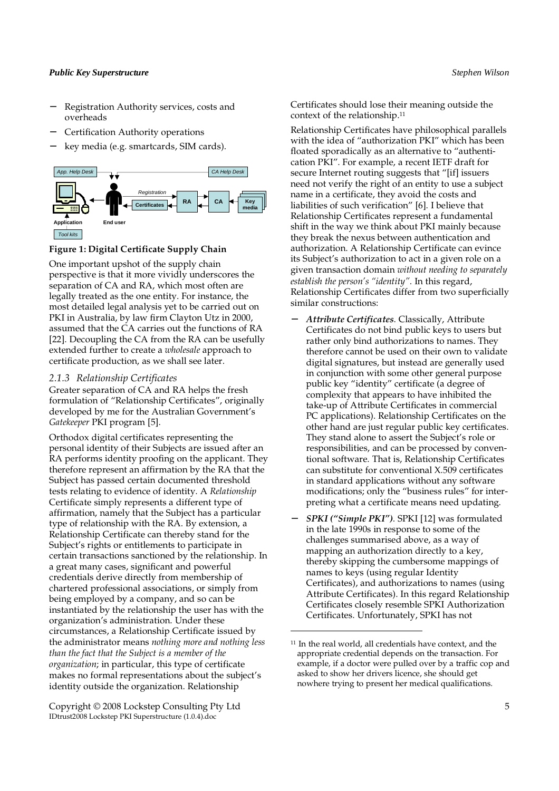- − Registration Authority services, costs and overheads
- − Certification Authority operations
- − key media (e.g. smartcards, SIM cards).



#### **Figure 1: Digital Certificate Supply Chain**

One important upshot of the supply chain perspective is that it more vividly underscores the separation of CA and RA, which most often are legally treated as the one entity. For instance, the most detailed legal analysis yet to be carried out on PKI in Australia, by law firm Clayton Utz in 2000, assumed that the CA carries out the functions of RA [22]. Decoupling the CA from the RA can be usefully extended further to create a *wholesale* approach to certificate production, as we shall see later.

#### *2.1.3 Relationship Certificates*

Greater separation of CA and RA helps the fresh formulation of "Relationship Certificates", originally developed by me for the Australian Government's *Gatekeeper* PKI program [5].

Orthodox digital certificates representing the personal identity of their Subjects are issued after an RA performs identity proofing on the applicant. They therefore represent an affirmation by the RA that the Subject has passed certain documented threshold tests relating to evidence of identity. A *Relationship* Certificate simply represents a different type of affirmation, namely that the Subject has a particular type of relationship with the RA. By extension, a Relationship Certificate can thereby stand for the Subject's rights or entitlements to participate in certain transactions sanctioned by the relationship. In a great many cases, significant and powerful credentials derive directly from membership of chartered professional associations, or simply from being employed by a company, and so can be instantiated by the relationship the user has with the organization's administration. Under these circumstances, a Relationship Certificate issued by the administrator means *nothing more and nothing less than the fact that the Subject is a member of the organization*; in particular, this type of certificate makes no formal representations about the subject's identity outside the organization. Relationship

Copyright © 2008 Lockstep Consulting Pty Ltd 5 IDtrust2008 Lockstep PKI Superstructure (1.0.4).doc

Certificates should lose their meaning outside the context of the relationship.<sup>11</sup>

Relationship Certificates have philosophical parallels with the idea of "authorization PKI" which has been floated sporadically as an alternative to "authentication PKI". For example, a recent IETF draft for secure Internet routing suggests that "[if] issuers need not verify the right of an entity to use a subject name in a certificate, they avoid the costs and liabilities of such verification" [6]. I believe that Relationship Certificates represent a fundamental shift in the way we think about PKI mainly because they break the nexus between authentication and authorization. A Relationship Certificate can evince its Subject's authorization to act in a given role on a given transaction domain *without needing to separately establish the person's "identity"*. In this regard, Relationship Certificates differ from two superficially similar constructions:

- − *Attribute Certificates*. Classically, Attribute Certificates do not bind public keys to users but rather only bind authorizations to names. They therefore cannot be used on their own to validate digital signatures, but instead are generally used in conjunction with some other general purpose public key "identity" certificate (a degree of complexity that appears to have inhibited the take-up of Attribute Certificates in commercial PC applications). Relationship Certificates on the other hand are just regular public key certificates. They stand alone to assert the Subject's role or responsibilities, and can be processed by conventional software. That is, Relationship Certificates can substitute for conventional X.509 certificates in standard applications without any software modifications; only the "business rules" for interpreting what a certificate means need updating.
- − *SPKI ("Simple PKI")*. SPKI [12] was formulated in the late 1990s in response to some of the challenges summarised above, as a way of mapping an authorization directly to a key, thereby skipping the cumbersome mappings of names to keys (using regular Identity Certificates), and authorizations to names (using Attribute Certificates). In this regard Relationship Certificates closely resemble SPKI Authorization Certificates. Unfortunately, SPKI has not

<sup>11</sup> In the real world, all credentials have context, and the appropriate credential depends on the transaction. For example, if a doctor were pulled over by a traffic cop and asked to show her drivers licence, she should get nowhere trying to present her medical qualifications.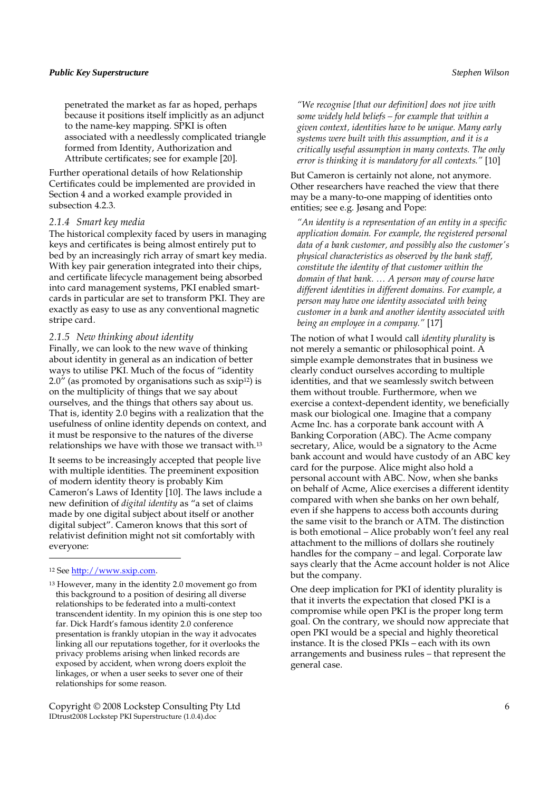penetrated the market as far as hoped, perhaps because it positions itself implicitly as an adjunct to the name-key mapping. SPKI is often associated with a needlessly complicated triangle formed from Identity, Authorization and Attribute certificates; see for example [20].

Further operational details of how Relationship Certificates could be implemented are provided in Section 4 and a worked example provided in subsection 4.2.3.

# *2.1.4 Smart key media*

The historical complexity faced by users in managing keys and certificates is being almost entirely put to bed by an increasingly rich array of smart key media. With key pair generation integrated into their chips, and certificate lifecycle management being absorbed into card management systems, PKI enabled smartcards in particular are set to transform PKI. They are exactly as easy to use as any conventional magnetic stripe card.

#### *2.1.5 New thinking about identity*

Finally, we can look to the new wave of thinking about identity in general as an indication of better ways to utilise PKI. Much of the focus of "identity  $2.0''$  (as promoted by organisations such as  $\frac{\text{exp12}}{\text{is}}$ ) is on the multiplicity of things that we say about ourselves, and the things that others say about us. That is, identity 2.0 begins with a realization that the usefulness of online identity depends on context, and it must be responsive to the natures of the diverse relationships we have with those we transact with.<sup>13</sup>

It seems to be increasingly accepted that people live with multiple identities. The preeminent exposition of modern identity theory is probably Kim Cameron's Laws of Identity [10]. The laws include a new definition of *digital identity* as "a set of claims made by one digital subject about itself or another digital subject". Cameron knows that this sort of relativist definition might not sit comfortably with everyone:

#### <sup>12</sup> See http://www.sxip.com.

j

<sup>13</sup> However, many in the identity 2.0 movement go from this background to a position of desiring all diverse relationships to be federated into a multi-context transcendent identity. In my opinion this is one step too far. Dick Hardt's famous identity 2.0 conference presentation is frankly utopian in the way it advocates linking all our reputations together, for it overlooks the privacy problems arising when linked records are exposed by accident, when wrong doers exploit the linkages, or when a user seeks to sever one of their relationships for some reason.

Copyright © 2008 Lockstep Consulting Pty Ltd 6 IDtrust2008 Lockstep PKI Superstructure (1.0.4).doc

*"We recognise [that our definition] does not jive with some widely held beliefs – for example that within a given context, identities have to be unique. Many early systems were built with this assumption, and it is a critically useful assumption in many contexts. The only error is thinking it is mandatory for all contexts."* [10]

But Cameron is certainly not alone, not anymore. Other researchers have reached the view that there may be a many-to-one mapping of identities onto entities; see e.g. Jøsang and Pope:

*"An identity is a representation of an entity in a specific application domain. For example, the registered personal data of a bank customer, and possibly also the customer's physical characteristics as observed by the bank staff, constitute the identity of that customer within the domain of that bank. … A person may of course have different identities in different domains. For example, a person may have one identity associated with being customer in a bank and another identity associated with being an employee in a company."* [17]

The notion of what I would call *identity plurality* is not merely a semantic or philosophical point. A simple example demonstrates that in business we clearly conduct ourselves according to multiple identities, and that we seamlessly switch between them without trouble. Furthermore, when we exercise a context-dependent identity, we beneficially mask our biological one. Imagine that a company Acme Inc. has a corporate bank account with A Banking Corporation (ABC). The Acme company secretary, Alice, would be a signatory to the Acme bank account and would have custody of an ABC key card for the purpose. Alice might also hold a personal account with ABC. Now, when she banks on behalf of Acme, Alice exercises a different identity compared with when she banks on her own behalf, even if she happens to access both accounts during the same visit to the branch or ATM. The distinction is both emotional – Alice probably won't feel any real attachment to the millions of dollars she routinely handles for the company – and legal. Corporate law says clearly that the Acme account holder is not Alice but the company.

One deep implication for PKI of identity plurality is that it inverts the expectation that closed PKI is a compromise while open PKI is the proper long term goal. On the contrary, we should now appreciate that open PKI would be a special and highly theoretical instance. It is the closed PKIs – each with its own arrangements and business rules – that represent the general case.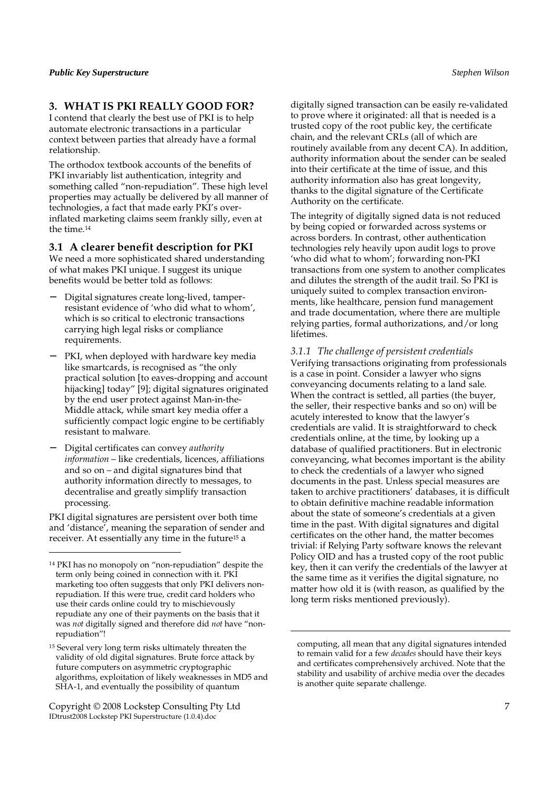# **3. WHAT IS PKI REALLY GOOD FOR?**

I contend that clearly the best use of PKI is to help automate electronic transactions in a particular context between parties that already have a formal relationship.

The orthodox textbook accounts of the benefits of PKI invariably list authentication, integrity and something called "non-repudiation". These high level properties may actually be delivered by all manner of technologies, a fact that made early PKI's overinflated marketing claims seem frankly silly, even at the time.<sup>14</sup>

### **3.1 A clearer benefit description for PKI**

We need a more sophisticated shared understanding of what makes PKI unique. I suggest its unique benefits would be better told as follows:

- − Digital signatures create long-lived, tamperresistant evidence of 'who did what to whom', which is so critical to electronic transactions carrying high legal risks or compliance requirements.
- PKI, when deployed with hardware key media like smartcards, is recognised as "the only practical solution [to eaves-dropping and account hijacking] today" [9]; digital signatures originated by the end user protect against Man-in-the-Middle attack, while smart key media offer a sufficiently compact logic engine to be certifiably resistant to malware.
- − Digital certificates can convey *authority information* – like credentials, licences, affiliations and so on – and digital signatures bind that authority information directly to messages, to decentralise and greatly simplify transaction processing.

PKI digital signatures are persistent over both time and 'distance', meaning the separation of sender and receiver. At essentially any time in the future15 a

j

Copyright © 2008 Lockstep Consulting Pty Ltd 7 IDtrust2008 Lockstep PKI Superstructure (1.0.4).doc

digitally signed transaction can be easily re-validated to prove where it originated: all that is needed is a trusted copy of the root public key, the certificate chain, and the relevant CRLs (all of which are routinely available from any decent CA). In addition,

authority information about the sender can be sealed into their certificate at the time of issue, and this authority information also has great longevity, thanks to the digital signature of the Certificate Authority on the certificate.

The integrity of digitally signed data is not reduced by being copied or forwarded across systems or across borders. In contrast, other authentication technologies rely heavily upon audit logs to prove 'who did what to whom'; forwarding non-PKI transactions from one system to another complicates and dilutes the strength of the audit trail. So PKI is uniquely suited to complex transaction environments, like healthcare, pension fund management and trade documentation, where there are multiple relying parties, formal authorizations, and/or long lifetimes.

*3.1.1 The challenge of persistent credentials*  Verifying transactions originating from professionals is a case in point. Consider a lawyer who signs conveyancing documents relating to a land sale. When the contract is settled, all parties (the buyer, the seller, their respective banks and so on) will be acutely interested to know that the lawyer's credentials are valid. It is straightforward to check credentials online, at the time, by looking up a database of qualified practitioners. But in electronic conveyancing, what becomes important is the ability to check the credentials of a lawyer who signed documents in the past. Unless special measures are taken to archive practitioners' databases, it is difficult to obtain definitive machine readable information about the state of someone's credentials at a given time in the past. With digital signatures and digital certificates on the other hand, the matter becomes trivial: if Relying Party software knows the relevant Policy OID and has a trusted copy of the root public key, then it can verify the credentials of the lawyer at the same time as it verifies the digital signature, no matter how old it is (with reason, as qualified by the long term risks mentioned previously).

<sup>14</sup> PKI has no monopoly on "non-repudiation" despite the term only being coined in connection with it. PKI marketing too often suggests that only PKI delivers nonrepudiation. If this were true, credit card holders who use their cards online could try to mischievously repudiate any one of their payments on the basis that it was *not* digitally signed and therefore did *not* have "nonrepudiation"!

<sup>15</sup> Several very long term risks ultimately threaten the validity of old digital signatures. Brute force attack by future computers on asymmetric cryptographic algorithms, exploitation of likely weaknesses in MD5 and SHA-1, and eventually the possibility of quantum

computing, all mean that any digital signatures intended to remain valid for a few *decades* should have their keys and certificates comprehensively archived. Note that the stability and usability of archive media over the decades is another quite separate challenge.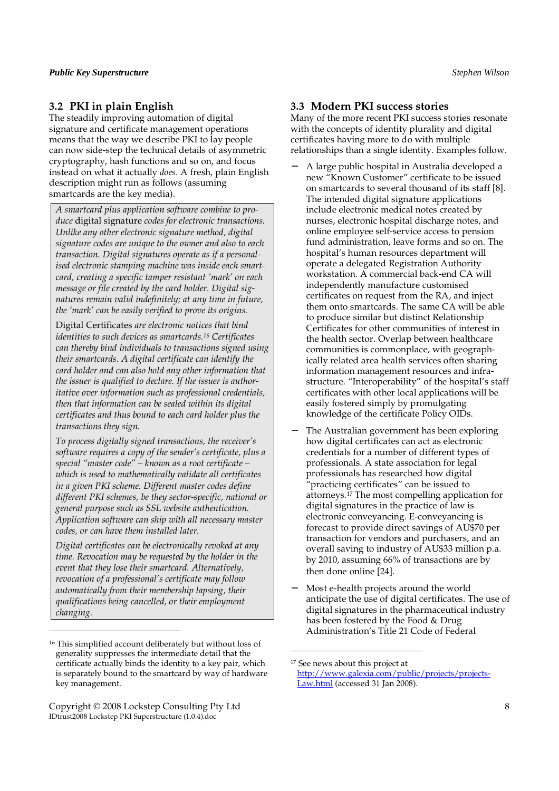# **3.2 PKI in plain English**

The steadily improving automation of digital signature and certificate management operations means that the way we describe PKI to lay people can now side-step the technical details of asymmetric cryptography, hash functions and so on, and focus instead on what it actually *does*. A fresh, plain English description might run as follows (assuming smartcards are the key media).

*A smartcard plus application software combine to produce* digital signature *codes for electronic transactions. Unlike any other electronic signature method, digital signature codes are unique to the owner and also to each transaction. Digital signatures operate as if a personalised electronic stamping machine was inside each smartcard, creating a specific tamper resistant 'mark' on each message or file created by the card holder. Digital signatures remain valid indefinitely; at any time in future, the 'mark' can be easily verified to prove its origins.* 

Digital Certificates *are electronic notices that bind identities to such devices as smartcards.16 Certificates can thereby bind individuals to transactions signed using their smartcards. A digital certificate can identify the card holder and can also hold any other information that the issuer is qualified to declare. If the issuer is authoritative over information such as professional credentials, then that information can be sealed within its digital certificates and thus bound to each card holder plus the transactions they sign.* 

*To process digitally signed transactions, the receiver's software requires a copy of the sender's certificate, plus a special "master code" – known as a root certificate – which is used to mathematically validate all certificates in a given PKI scheme. Different master codes define different PKI schemes, be they sector-specific, national or general purpose such as SSL website authentication. Application software can ship with all necessary master codes, or can have them installed later.* 

*Digital certificates can be electronically revoked at any time. Revocation may be requested by the holder in the event that they lose their smartcard. Alternatively, revocation of a professional's certificate may follow automatically from their membership lapsing, their qualifications being cancelled, or their employment changing.* 

Copyright © 2008 Lockstep Consulting Pty Ltd 8 IDtrust2008 Lockstep PKI Superstructure (1.0.4).doc

j

# **3.3 Modern PKI success stories**

Many of the more recent PKI success stories resonate with the concepts of identity plurality and digital certificates having more to do with multiple relationships than a single identity. Examples follow.

- − A large public hospital in Australia developed a new "Known Customer" certificate to be issued on smartcards to several thousand of its staff [8]. The intended digital signature applications include electronic medical notes created by nurses, electronic hospital discharge notes, and online employee self-service access to pension fund administration, leave forms and so on. The hospital's human resources department will operate a delegated Registration Authority workstation. A commercial back-end CA will independently manufacture customised certificates on request from the RA, and inject them onto smartcards. The same CA will be able to produce similar but distinct Relationship Certificates for other communities of interest in the health sector. Overlap between healthcare communities is commonplace, with geographically related area health services often sharing information management resources and infrastructure. "Interoperability" of the hospital's staff certificates with other local applications will be easily fostered simply by promulgating knowledge of the certificate Policy OIDs.
- The Australian government has been exploring how digital certificates can act as electronic credentials for a number of different types of professionals. A state association for legal professionals has researched how digital "practicing certificates" can be issued to attorneys.17 The most compelling application for digital signatures in the practice of law is electronic conveyancing. E-conveyancing is forecast to provide direct savings of AU\$70 per transaction for vendors and purchasers, and an overall saving to industry of AU\$33 million p.a. by 2010, assuming 66% of transactions are by then done online [24].
- Most e-health projects around the world anticipate the use of digital certificates. The use of digital signatures in the pharmaceutical industry has been fostered by the Food & Drug Administration's Title 21 Code of Federal

<sup>16</sup> This simplified account deliberately but without loss of generality suppresses the intermediate detail that the certificate actually binds the identity to a key pair, which is separately bound to the smartcard by way of hardware key management.

<sup>17</sup> See news about this project at http://www.galexia.com/public/projects/projects-Law.html (accessed 31 Jan 2008).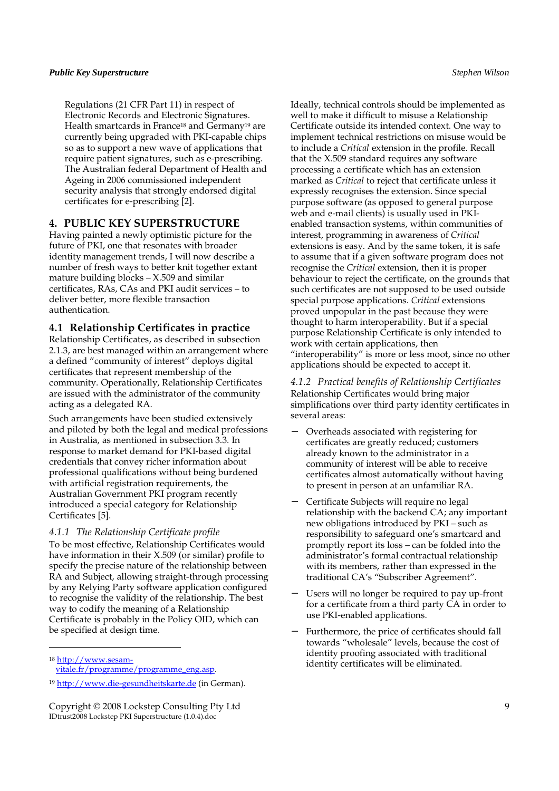Regulations (21 CFR Part 11) in respect of Electronic Records and Electronic Signatures. Health smartcards in France<sup>18</sup> and Germany<sup>19</sup> are currently being upgraded with PKI-capable chips so as to support a new wave of applications that require patient signatures, such as e-prescribing. The Australian federal Department of Health and Ageing in 2006 commissioned independent security analysis that strongly endorsed digital certificates for e-prescribing [2].

# **4. PUBLIC KEY SUPERSTRUCTURE**

Having painted a newly optimistic picture for the future of PKI, one that resonates with broader identity management trends, I will now describe a number of fresh ways to better knit together extant mature building blocks  $- X.509$  and similar certificates, RAs, CAs and PKI audit services – to deliver better, more flexible transaction authentication.

# **4.1 Relationship Certificates in practice**

Relationship Certificates, as described in subsection 2.1.3, are best managed within an arrangement where a defined "community of interest" deploys digital certificates that represent membership of the community. Operationally, Relationship Certificates are issued with the administrator of the community acting as a delegated RA.

Such arrangements have been studied extensively and piloted by both the legal and medical professions in Australia, as mentioned in subsection 3.3. In response to market demand for PKI-based digital credentials that convey richer information about professional qualifications without being burdened with artificial registration requirements, the Australian Government PKI program recently introduced a special category for Relationship Certificates [5].

#### *4.1.1 The Relationship Certificate profile*

To be most effective, Relationship Certificates would have information in their X.509 (or similar) profile to specify the precise nature of the relationship between RA and Subject, allowing straight-through processing by any Relying Party software application configured to recognise the validity of the relationship. The best way to codify the meaning of a Relationship Certificate is probably in the Policy OID, which can be specified at design time.

18 http://www.sesam-

j

Ideally, technical controls should be implemented as well to make it difficult to misuse a Relationship Certificate outside its intended context. One way to implement technical restrictions on misuse would be to include a *Critical* extension in the profile. Recall that the X.509 standard requires any software processing a certificate which has an extension marked as *Critical* to reject that certificate unless it expressly recognises the extension. Since special purpose software (as opposed to general purpose web and e-mail clients) is usually used in PKIenabled transaction systems, within communities of interest, programming in awareness of *Critical* extensions is easy. And by the same token, it is safe to assume that if a given software program does not recognise the *Critical* extension, then it is proper behaviour to reject the certificate, on the grounds that such certificates are not supposed to be used outside special purpose applications. *Critical* extensions proved unpopular in the past because they were thought to harm interoperability. But if a special purpose Relationship Certificate is only intended to work with certain applications, then "interoperability" is more or less moot, since no other applications should be expected to accept it.

#### *4.1.2 Practical benefits of Relationship Certificates*  Relationship Certificates would bring major simplifications over third party identity certificates in several areas:

- − Overheads associated with registering for certificates are greatly reduced; customers already known to the administrator in a community of interest will be able to receive certificates almost automatically without having to present in person at an unfamiliar RA.
- − Certificate Subjects will require no legal relationship with the backend CA; any important new obligations introduced by PKI – such as responsibility to safeguard one's smartcard and promptly report its loss – can be folded into the administrator's formal contractual relationship with its members, rather than expressed in the traditional CA's "Subscriber Agreement".
- Users will no longer be required to pay up-front for a certificate from a third party CA in order to use PKI-enabled applications.
- Furthermore, the price of certificates should fall towards "wholesale" levels, because the cost of identity proofing associated with traditional identity certificates will be eliminated.

vitale.fr/programme/programme\_eng.asp.

<sup>19</sup> http://www.die-gesundheitskarte.de (in German).

Copyright © 2008 Lockstep Consulting Pty Ltd 9 IDtrust2008 Lockstep PKI Superstructure (1.0.4).doc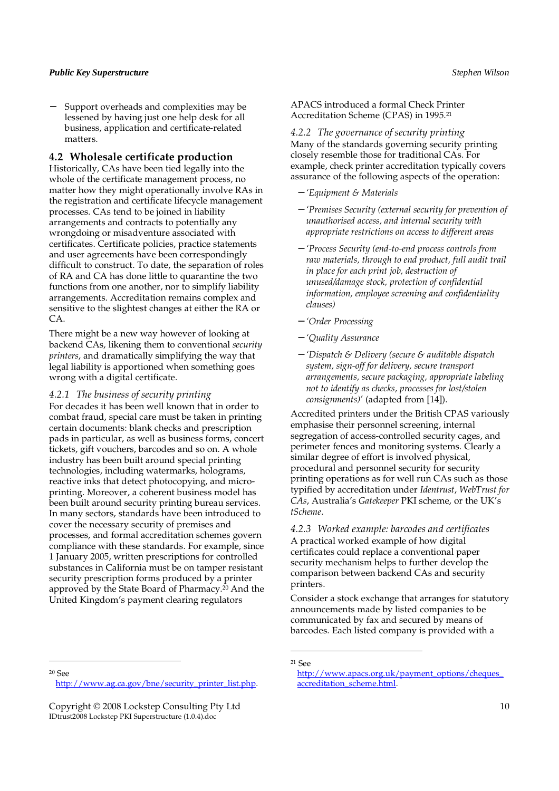Support overheads and complexities may be lessened by having just one help desk for all business, application and certificate-related matters.

### **4.2 Wholesale certificate production**

Historically, CAs have been tied legally into the whole of the certificate management process, no matter how they might operationally involve RAs in the registration and certificate lifecycle management processes. CAs tend to be joined in liability arrangements and contracts to potentially any wrongdoing or misadventure associated with certificates. Certificate policies, practice statements and user agreements have been correspondingly difficult to construct. To date, the separation of roles of RA and CA has done little to quarantine the two functions from one another, nor to simplify liability arrangements. Accreditation remains complex and sensitive to the slightest changes at either the RA or CA.

There might be a new way however of looking at backend CAs, likening them to conventional *security printers*, and dramatically simplifying the way that legal liability is apportioned when something goes wrong with a digital certificate.

#### *4.2.1 The business of security printing*

For decades it has been well known that in order to combat fraud, special care must be taken in printing certain documents: blank checks and prescription pads in particular, as well as business forms, concert tickets, gift vouchers, barcodes and so on. A whole industry has been built around special printing technologies, including watermarks, holograms, reactive inks that detect photocopying, and microprinting. Moreover, a coherent business model has been built around security printing bureau services. In many sectors, standards have been introduced to cover the necessary security of premises and processes, and formal accreditation schemes govern compliance with these standards. For example, since 1 January 2005, written prescriptions for controlled substances in California must be on tamper resistant security prescription forms produced by a printer approved by the State Board of Pharmacy.20 And the United Kingdom's payment clearing regulators

APACS introduced a formal Check Printer Accreditation Scheme (CPAS) in 1995.<sup>21</sup>

*4.2.2 The governance of security printing*  Many of the standards governing security printing closely resemble those for traditional CAs. For example, check printer accreditation typically covers assurance of the following aspects of the operation:

- − *'Equipment & Materials*
- − *'Premises Security (external security for prevention of unauthorised access, and internal security with appropriate restrictions on access to different areas*
- − *'Process Security (end-to-end process controls from raw materials, through to end product, full audit trail in place for each print job, destruction of unused/damage stock, protection of confidential information, employee screening and confidentiality clauses)*
- − *'Order Processing*
- − *'Quality Assurance*
- − *'Dispatch & Delivery (secure & auditable dispatch system, sign-off for delivery, secure transport arrangements, secure packaging, appropriate labeling not to identify as checks, processes for lost/stolen consignments)'* (adapted from [14]).

Accredited printers under the British CPAS variously emphasise their personnel screening, internal segregation of access-controlled security cages, and perimeter fences and monitoring systems. Clearly a similar degree of effort is involved physical, procedural and personnel security for security printing operations as for well run CAs such as those typified by accreditation under *Identrust*, *WebTrust for CAs*, Australia's *Gatekeeper* PKI scheme, or the UK's *tScheme*.

*4.2.3 Worked example: barcodes and certificates*  A practical worked example of how digital certificates could replace a conventional paper security mechanism helps to further develop the comparison between backend CAs and security printers.

Consider a stock exchange that arranges for statutory announcements made by listed companies to be communicated by fax and secured by means of barcodes. Each listed company is provided with a

<sup>20</sup> See

j

<sup>21</sup> See

http://www.ag.ca.gov/bne/security\_printer\_list.php.

Copyright © 2008 Lockstep Consulting Pty Ltd 10 IDtrust2008 Lockstep PKI Superstructure (1.0.4).doc

http://www.apacs.org.uk/payment\_options/cheques\_ accreditation\_scheme.html.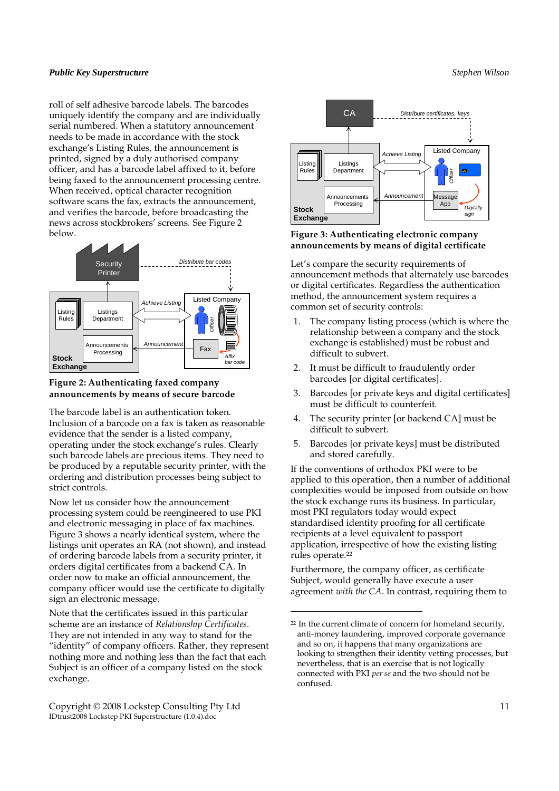roll of self adhesive barcode labels. The barcodes uniquely identify the company and are individually serial numbered. When a statutory announcement needs to be made in accordance with the stock exchange's Listing Rules, the announcement is printed, signed by a duly authorised company officer, and has a barcode label affixed to it, before being faxed to the announcement processing centre. When received, optical character recognition software scans the fax, extracts the announcement, and verifies the barcode, before broadcasting the news across stockbrokers' screens. See Figure 2 below.



# **Figure 2: Authenticating faxed company announcements by means of secure barcode**

The barcode label is an authentication token. Inclusion of a barcode on a fax is taken as reasonable evidence that the sender is a listed company, operating under the stock exchange's rules. Clearly such barcode labels are precious items. They need to be produced by a reputable security printer, with the ordering and distribution processes being subject to strict controls.

Now let us consider how the announcement processing system could be reengineered to use PKI and electronic messaging in place of fax machines. Figure 3 shows a nearly identical system, where the listings unit operates an RA (not shown), and instead of ordering barcode labels from a security printer, it orders digital certificates from a backend CA. In order now to make an official announcement, the company officer would use the certificate to digitally sign an electronic message.

Note that the certificates issued in this particular scheme are an instance of *Relationship Certificates*. They are not intended in any way to stand for the "identity" of company officers. Rather, they represent nothing more and nothing less than the fact that each Subject is an officer of a company listed on the stock exchange.

Copyright © 2008 Lockstep Consulting Pty Ltd 11 IDtrust2008 Lockstep PKI Superstructure (1.0.4).doc



# **Figure 3: Authenticating electronic company announcements by means of digital certificate**

Let's compare the security requirements of announcement methods that alternately use barcodes or digital certificates. Regardless the authentication method, the announcement system requires a common set of security controls:

- 1. The company listing process (which is where the relationship between a company and the stock exchange is established) must be robust and difficult to subvert.
- 2. It must be difficult to fraudulently order barcodes [or digital certificates].
- 3. Barcodes [or private keys and digital certificates] must be difficult to counterfeit.
- 4. The security printer [or backend CA] must be difficult to subvert.
- 5. Barcodes [or private keys] must be distributed and stored carefully.

If the conventions of orthodox PKI were to be applied to this operation, then a number of additional complexities would be imposed from outside on how the stock exchange runs its business. In particular, most PKI regulators today would expect standardised identity proofing for all certificate recipients at a level equivalent to passport application, irrespective of how the existing listing rules operate.<sup>22</sup>

Furthermore, the company officer, as certificate Subject, would generally have execute a user agreement *with the CA*. In contrast, requiring them to

<sup>22</sup> In the current climate of concern for homeland security, anti-money laundering, improved corporate governance and so on, it happens that many organizations are looking to strengthen their identity vetting processes, but nevertheless, that is an exercise that is not logically connected with PKI *per se* and the two should not be confused.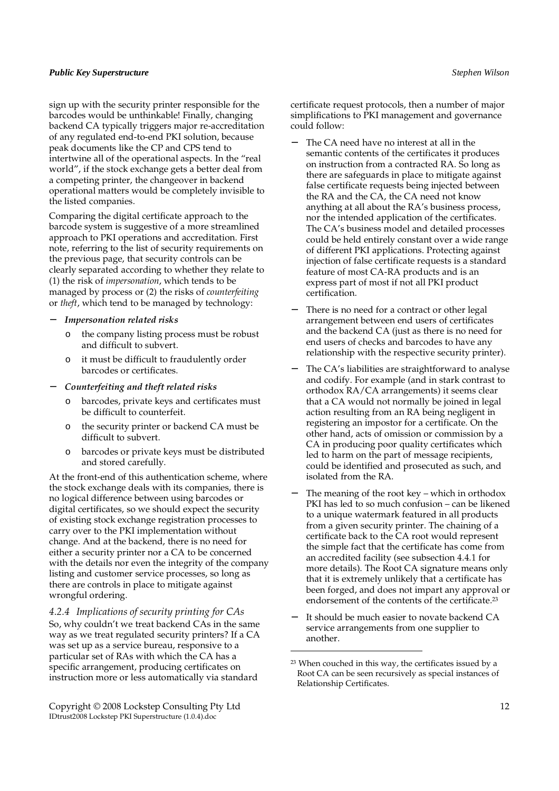sign up with the security printer responsible for the barcodes would be unthinkable! Finally, changing backend CA typically triggers major re-accreditation of any regulated end-to-end PKI solution, because peak documents like the CP and CPS tend to intertwine all of the operational aspects. In the "real world", if the stock exchange gets a better deal from a competing printer, the changeover in backend operational matters would be completely invisible to the listed companies.

Comparing the digital certificate approach to the barcode system is suggestive of a more streamlined approach to PKI operations and accreditation. First note, referring to the list of security requirements on the previous page, that security controls can be clearly separated according to whether they relate to (1) the risk of *impersonation*, which tends to be managed by process or (2) the risks of *counterfeiting* or *theft*, which tend to be managed by technology:

- − *Impersonation related risks* 
	- o the company listing process must be robust and difficult to subvert.
	- o it must be difficult to fraudulently order barcodes or certificates.
- − *Counterfeiting and theft related risks* 
	- o barcodes, private keys and certificates must be difficult to counterfeit.
	- o the security printer or backend CA must be difficult to subvert.
	- o barcodes or private keys must be distributed and stored carefully.

At the front-end of this authentication scheme, where the stock exchange deals with its companies, there is no logical difference between using barcodes or digital certificates, so we should expect the security of existing stock exchange registration processes to carry over to the PKI implementation without change. And at the backend, there is no need for either a security printer nor a CA to be concerned with the details nor even the integrity of the company listing and customer service processes, so long as there are controls in place to mitigate against wrongful ordering.

*4.2.4 Implications of security printing for CAs*  So, why couldn't we treat backend CAs in the same way as we treat regulated security printers? If a CA was set up as a service bureau, responsive to a particular set of RAs with which the CA has a specific arrangement, producing certificates on instruction more or less automatically via standard

Copyright © 2008 Lockstep Consulting Pty Ltd 12 IDtrust2008 Lockstep PKI Superstructure (1.0.4).doc

certificate request protocols, then a number of major simplifications to PKI management and governance could follow:

- The CA need have no interest at all in the semantic contents of the certificates it produces on instruction from a contracted RA. So long as there are safeguards in place to mitigate against false certificate requests being injected between the RA and the CA, the CA need not know anything at all about the RA's business process, nor the intended application of the certificates. The CA's business model and detailed processes could be held entirely constant over a wide range of different PKI applications. Protecting against injection of false certificate requests is a standard feature of most CA-RA products and is an express part of most if not all PKI product certification.
- There is no need for a contract or other legal arrangement between end users of certificates and the backend CA (just as there is no need for end users of checks and barcodes to have any relationship with the respective security printer).
- The CA's liabilities are straightforward to analyse and codify. For example (and in stark contrast to orthodox RA/CA arrangements) it seems clear that a CA would not normally be joined in legal action resulting from an RA being negligent in registering an impostor for a certificate. On the other hand, acts of omission or commission by a CA in producing poor quality certificates which led to harm on the part of message recipients, could be identified and prosecuted as such, and isolated from the RA.
- The meaning of the root key which in orthodox PKI has led to so much confusion – can be likened to a unique watermark featured in all products from a given security printer. The chaining of a certificate back to the CA root would represent the simple fact that the certificate has come from an accredited facility (see subsection 4.4.1 for more details). The Root CA signature means only that it is extremely unlikely that a certificate has been forged, and does not impart any approval or endorsement of the contents of the certificate.<sup>23</sup>
- It should be much easier to novate backend CA service arrangements from one supplier to another.

<sup>23</sup> When couched in this way, the certificates issued by a Root CA can be seen recursively as special instances of Relationship Certificates.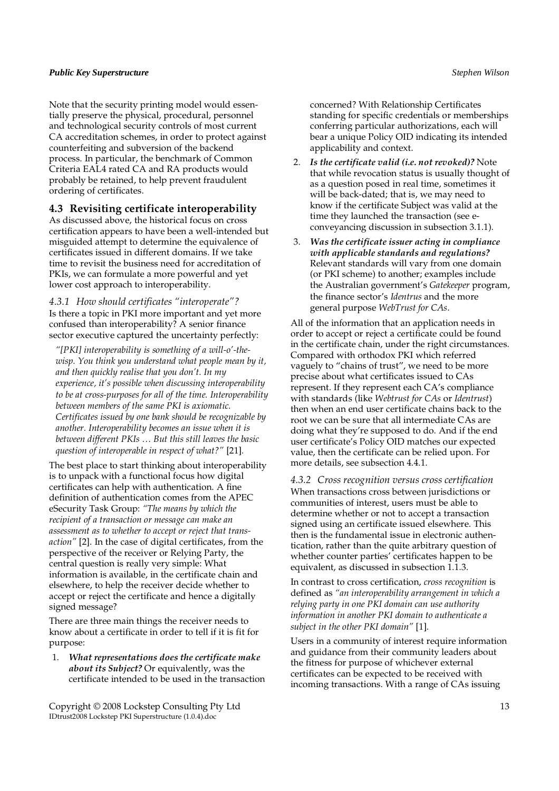Note that the security printing model would essentially preserve the physical, procedural, personnel and technological security controls of most current CA accreditation schemes, in order to protect against counterfeiting and subversion of the backend process. In particular, the benchmark of Common Criteria EAL4 rated CA and RA products would probably be retained, to help prevent fraudulent ordering of certificates.

# **4.3 Revisiting certificate interoperability**

As discussed above, the historical focus on cross certification appears to have been a well-intended but misguided attempt to determine the equivalence of certificates issued in different domains. If we take time to revisit the business need for accreditation of PKIs, we can formulate a more powerful and yet lower cost approach to interoperability.

*4.3.1 How should certificates "interoperate"?*  Is there a topic in PKI more important and yet more confused than interoperability? A senior finance sector executive captured the uncertainty perfectly:

*"[PKI] interoperability is something of a will-o'-thewisp. You think you understand what people mean by it, and then quickly realise that you don't. In my experience, it's possible when discussing interoperability to be at cross-purposes for all of the time. Interoperability between members of the same PKI is axiomatic. Certificates issued by one bank should be recognizable by another. Interoperability becomes an issue when it is between different PKIs … But this still leaves the basic question of interoperable in respect of what?"* [21]*.* 

The best place to start thinking about interoperability is to unpack with a functional focus how digital certificates can help with authentication. A fine definition of authentication comes from the APEC eSecurity Task Group: *"The means by which the recipient of a transaction or message can make an assessment as to whether to accept or reject that transaction"* [2]. In the case of digital certificates, from the perspective of the receiver or Relying Party, the central question is really very simple: What information is available, in the certificate chain and elsewhere, to help the receiver decide whether to accept or reject the certificate and hence a digitally signed message?

There are three main things the receiver needs to know about a certificate in order to tell if it is fit for purpose:

1. *What representations does the certificate make about its Subject?* Or equivalently, was the certificate intended to be used in the transaction

Copyright © 2008 Lockstep Consulting Pty Ltd 13 IDtrust2008 Lockstep PKI Superstructure (1.0.4).doc

concerned? With Relationship Certificates standing for specific credentials or memberships conferring particular authorizations, each will bear a unique Policy OID indicating its intended applicability and context.

- 2. *Is the certificate valid (i.e. not revoked)?* Note that while revocation status is usually thought of as a question posed in real time, sometimes it will be back-dated; that is, we may need to know if the certificate Subject was valid at the time they launched the transaction (see econveyancing discussion in subsection 3.1.1).
- 3. *Was the certificate issuer acting in compliance with applicable standards and regulations?* Relevant standards will vary from one domain (or PKI scheme) to another; examples include the Australian government's *Gatekeeper* program, the finance sector's *Identrus* and the more general purpose *WebTrust for CAs*.

All of the information that an application needs in order to accept or reject a certificate could be found in the certificate chain, under the right circumstances. Compared with orthodox PKI which referred vaguely to "chains of trust", we need to be more precise about what certificates issued to CAs represent. If they represent each CA's compliance with standards (like *Webtrust for CAs* or *Identrust*) then when an end user certificate chains back to the root we can be sure that all intermediate CAs are doing what they're supposed to do. And if the end user certificate's Policy OID matches our expected value, then the certificate can be relied upon. For more details, see subsection 4.4.1.

*4.3.2 Cross recognition versus cross certification*  When transactions cross between jurisdictions or communities of interest, users must be able to determine whether or not to accept a transaction signed using an certificate issued elsewhere. This then is the fundamental issue in electronic authentication, rather than the quite arbitrary question of whether counter parties' certificates happen to be equivalent, as discussed in subsection 1.1.3.

In contrast to cross certification, *cross recognition* is defined as *"an interoperability arrangement in which a relying party in one PKI domain can use authority information in another PKI domain to authenticate a subject in the other PKI domain"* [1].

Users in a community of interest require information and guidance from their community leaders about the fitness for purpose of whichever external certificates can be expected to be received with incoming transactions. With a range of CAs issuing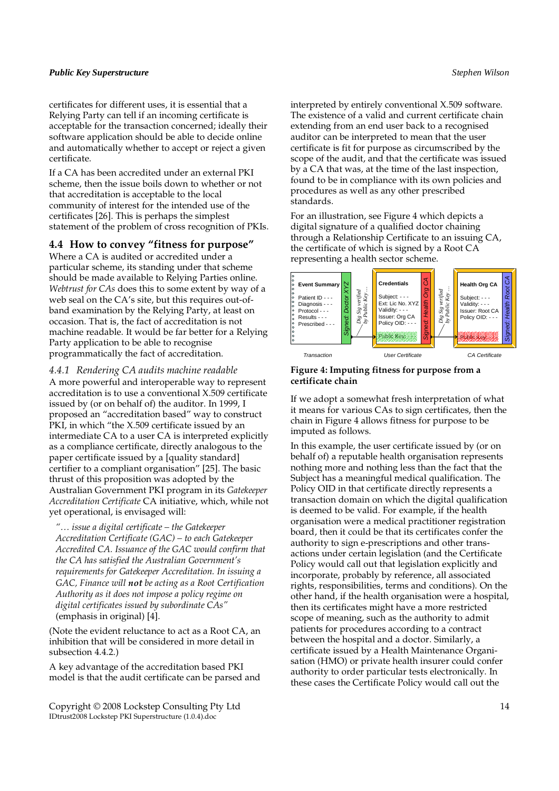certificates for different uses, it is essential that a Relying Party can tell if an incoming certificate is acceptable for the transaction concerned; ideally their software application should be able to decide online and automatically whether to accept or reject a given certificate.

If a CA has been accredited under an external PKI scheme, then the issue boils down to whether or not that accreditation is acceptable to the local community of interest for the intended use of the certificates [26]. This is perhaps the simplest statement of the problem of cross recognition of PKIs.

# **4.4 How to convey "fitness for purpose"**

Where a CA is audited or accredited under a particular scheme, its standing under that scheme should be made available to Relying Parties online. *Webtrust for CAs* does this to some extent by way of a web seal on the CA's site, but this requires out-ofband examination by the Relying Party, at least on occasion. That is, the fact of accreditation is not machine readable. It would be far better for a Relying Party application to be able to recognise programmatically the fact of accreditation.

*4.4.1 Rendering CA audits machine readable*  A more powerful and interoperable way to represent accreditation is to use a conventional X.509 certificate issued by (or on behalf of) the auditor. In 1999, I proposed an "accreditation based" way to construct PKI, in which "the X.509 certificate issued by an intermediate CA to a user CA is interpreted explicitly as a compliance certificate, directly analogous to the paper certificate issued by a [quality standard] certifier to a compliant organisation" [25]. The basic thrust of this proposition was adopted by the Australian Government PKI program in its *Gatekeeper Accreditation Certificate* CA initiative, which, while not yet operational, is envisaged will:

*"… issue a digital certificate – the Gatekeeper Accreditation Certificate (GAC) – to each Gatekeeper Accredited CA. Issuance of the GAC would confirm that the CA has satisfied the Australian Government's requirements for Gatekeeper Accreditation. In issuing a GAC, Finance will not be acting as a Root Certification Authority as it does not impose a policy regime on digital certificates issued by subordinate CAs"*  (emphasis in original) [4].

(Note the evident reluctance to act as a Root CA, an inhibition that will be considered in more detail in subsection 4.4.2.)

A key advantage of the accreditation based PKI model is that the audit certificate can be parsed and

Copyright © 2008 Lockstep Consulting Pty Ltd 14 IDtrust2008 Lockstep PKI Superstructure (1.0.4).doc

interpreted by entirely conventional X.509 software. The existence of a valid and current certificate chain extending from an end user back to a recognised auditor can be interpreted to mean that the user certificate is fit for purpose as circumscribed by the scope of the audit, and that the certificate was issued by a CA that was, at the time of the last inspection, found to be in compliance with its own policies and procedures as well as any other prescribed standards.

For an illustration, see Figure 4 which depicts a digital signature of a qualified doctor chaining through a Relationship Certificate to an issuing CA, the certificate of which is signed by a Root CA representing a health sector scheme.



# **Figure 4: Imputing fitness for purpose from a certificate chain**

If we adopt a somewhat fresh interpretation of what it means for various CAs to sign certificates, then the chain in Figure 4 allows fitness for purpose to be imputed as follows.

In this example, the user certificate issued by (or on behalf of) a reputable health organisation represents nothing more and nothing less than the fact that the Subject has a meaningful medical qualification. The Policy OID in that certificate directly represents a transaction domain on which the digital qualification is deemed to be valid. For example, if the health organisation were a medical practitioner registration board, then it could be that its certificates confer the authority to sign e-prescriptions and other transactions under certain legislation (and the Certificate Policy would call out that legislation explicitly and incorporate, probably by reference, all associated rights, responsibilities, terms and conditions). On the other hand, if the health organisation were a hospital, then its certificates might have a more restricted scope of meaning, such as the authority to admit patients for procedures according to a contract between the hospital and a doctor. Similarly, a certificate issued by a Health Maintenance Organisation (HMO) or private health insurer could confer authority to order particular tests electronically. In these cases the Certificate Policy would call out the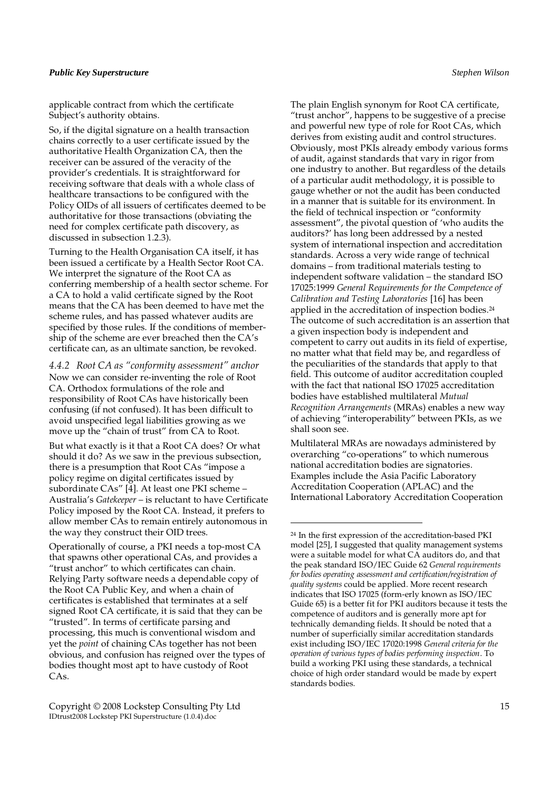applicable contract from which the certificate Subject's authority obtains.

So, if the digital signature on a health transaction chains correctly to a user certificate issued by the authoritative Health Organization CA, then the receiver can be assured of the veracity of the provider's credentials. It is straightforward for receiving software that deals with a whole class of healthcare transactions to be configured with the Policy OIDs of all issuers of certificates deemed to be authoritative for those transactions (obviating the need for complex certificate path discovery, as discussed in subsection 1.2.3).

Turning to the Health Organisation CA itself, it has been issued a certificate by a Health Sector Root CA. We interpret the signature of the Root CA as conferring membership of a health sector scheme. For a CA to hold a valid certificate signed by the Root means that the CA has been deemed to have met the scheme rules, and has passed whatever audits are specified by those rules. If the conditions of membership of the scheme are ever breached then the CA's certificate can, as an ultimate sanction, be revoked.

*4.4.2 Root CA as "conformity assessment" anchor*  Now we can consider re-inventing the role of Root CA. Orthodox formulations of the role and responsibility of Root CAs have historically been confusing (if not confused). It has been difficult to avoid unspecified legal liabilities growing as we move up the "chain of trust" from CA to Root.

But what exactly is it that a Root CA does? Or what should it do? As we saw in the previous subsection, there is a presumption that Root CAs "impose a policy regime on digital certificates issued by subordinate CAs" [4]. At least one PKI scheme – Australia's *Gatekeeper* – is reluctant to have Certificate Policy imposed by the Root CA. Instead, it prefers to allow member CAs to remain entirely autonomous in the way they construct their OID trees.

Operationally of course, a PKI needs a top-most CA that spawns other operational CAs, and provides a "trust anchor" to which certificates can chain. Relying Party software needs a dependable copy of the Root CA Public Key, and when a chain of certificates is established that terminates at a self signed Root CA certificate, it is said that they can be "trusted". In terms of certificate parsing and processing, this much is conventional wisdom and yet the *point* of chaining CAs together has not been obvious, and confusion has reigned over the types of bodies thought most apt to have custody of Root CAs.

The plain English synonym for Root CA certificate, "trust anchor", happens to be suggestive of a precise and powerful new type of role for Root CAs, which derives from existing audit and control structures. Obviously, most PKIs already embody various forms of audit, against standards that vary in rigor from one industry to another. But regardless of the details of a particular audit methodology, it is possible to gauge whether or not the audit has been conducted in a manner that is suitable for its environment. In the field of technical inspection or "conformity assessment", the pivotal question of 'who audits the auditors?' has long been addressed by a nested system of international inspection and accreditation standards. Across a very wide range of technical domains – from traditional materials testing to independent software validation – the standard ISO 17025:1999 *General Requirements for the Competence of Calibration and Testing Laboratories* [16] has been applied in the accreditation of inspection bodies.<sup>24</sup> The outcome of such accreditation is an assertion that a given inspection body is independent and competent to carry out audits in its field of expertise, no matter what that field may be, and regardless of the peculiarities of the standards that apply to that field. This outcome of auditor accreditation coupled with the fact that national ISO 17025 accreditation bodies have established multilateral *Mutual Recognition Arrangements* (MRAs) enables a new way of achieving "interoperability" between PKIs, as we shall soon see.

Multilateral MRAs are nowadays administered by overarching "co-operations" to which numerous national accreditation bodies are signatories. Examples include the Asia Pacific Laboratory Accreditation Cooperation (APLAC) and the International Laboratory Accreditation Cooperation

 $\overline{a}$ 

Copyright © 2008 Lockstep Consulting Pty Ltd 15 IDtrust2008 Lockstep PKI Superstructure (1.0.4).doc

<sup>24</sup> In the first expression of the accreditation-based PKI model [25], I suggested that quality management systems were a suitable model for what CA auditors do, and that the peak standard ISO/IEC Guide 62 *General requirements for bodies operating assessment and certification/registration of quality systems* could be applied. More recent research indicates that ISO 17025 (form-erly known as ISO/IEC Guide 65) is a better fit for PKI auditors because it tests the competence of auditors and is generally more apt for technically demanding fields. It should be noted that a number of superficially similar accreditation standards exist including ISO/IEC 17020:1998 *General criteria for the operation of various types of bodies performing inspection*. To build a working PKI using these standards, a technical choice of high order standard would be made by expert standards bodies.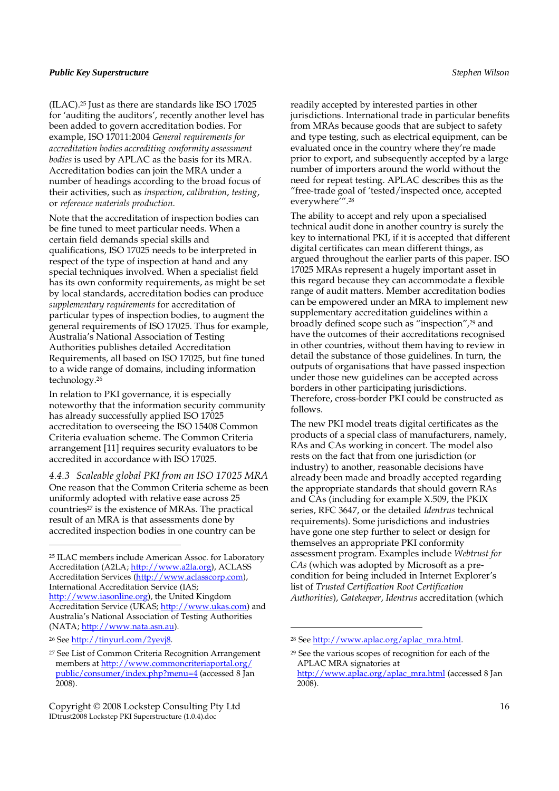(ILAC).25 Just as there are standards like ISO 17025 for 'auditing the auditors', recently another level has been added to govern accreditation bodies. For example, ISO 17011:2004 *General requirements for accreditation bodies accrediting conformity assessment bodies* is used by APLAC as the basis for its MRA. Accreditation bodies can join the MRA under a number of headings according to the broad focus of their activities, such as *inspection*, *calibration*, *testing*, or *reference materials production*.

Note that the accreditation of inspection bodies can be fine tuned to meet particular needs. When a certain field demands special skills and qualifications, ISO 17025 needs to be interpreted in respect of the type of inspection at hand and any special techniques involved. When a specialist field has its own conformity requirements, as might be set by local standards, accreditation bodies can produce *supplementary requirements* for accreditation of particular types of inspection bodies, to augment the general requirements of ISO 17025. Thus for example, Australia's National Association of Testing Authorities publishes detailed Accreditation Requirements, all based on ISO 17025, but fine tuned to a wide range of domains, including information technology.<sup>26</sup>

In relation to PKI governance, it is especially noteworthy that the information security community has already successfully applied ISO 17025 accreditation to overseeing the ISO 15408 Common Criteria evaluation scheme. The Common Criteria arrangement [11] requires security evaluators to be accredited in accordance with ISO 17025.

*4.4.3 Scaleable global PKI from an ISO 17025 MRA*  One reason that the Common Criteria scheme as been uniformly adopted with relative ease across 25 countries<sup>27</sup> is the existence of MRAs. The practical result of an MRA is that assessments done by accredited inspection bodies in one country can be

j

readily accepted by interested parties in other jurisdictions. International trade in particular benefits from MRAs because goods that are subject to safety and type testing, such as electrical equipment, can be evaluated once in the country where they're made prior to export, and subsequently accepted by a large number of importers around the world without the need for repeat testing. APLAC describes this as the "free-trade goal of 'tested/inspected once, accepted everywhere'".<sup>28</sup>

The ability to accept and rely upon a specialised technical audit done in another country is surely the key to international PKI, if it is accepted that different digital certificates can mean different things, as argued throughout the earlier parts of this paper. ISO 17025 MRAs represent a hugely important asset in this regard because they can accommodate a flexible range of audit matters. Member accreditation bodies can be empowered under an MRA to implement new supplementary accreditation guidelines within a broadly defined scope such as "inspection",<sup>29</sup> and have the outcomes of their accreditations recognised in other countries, without them having to review in detail the substance of those guidelines. In turn, the outputs of organisations that have passed inspection under those new guidelines can be accepted across borders in other participating jurisdictions. Therefore, cross-border PKI could be constructed as follows

The new PKI model treats digital certificates as the products of a special class of manufacturers, namely, RAs and CAs working in concert. The model also rests on the fact that from one jurisdiction (or industry) to another, reasonable decisions have already been made and broadly accepted regarding the appropriate standards that should govern RAs and CAs (including for example X.509, the PKIX series, RFC 3647, or the detailed *Identrus* technical requirements). Some jurisdictions and industries have gone one step further to select or design for themselves an appropriate PKI conformity assessment program. Examples include *Webtrust for CAs* (which was adopted by Microsoft as a precondition for being included in Internet Explorer's list of *Trusted Certification Root Certification Authorities*), *Gatekeeper*, *Identrus* accreditation (which

 $\overline{a}$ 

<sup>25</sup> ILAC members include American Assoc. for Laboratory Accreditation (A2LA; http://www.a2la.org), ACLASS Accreditation Services (http://www.aclasscorp.com), International Accreditation Service (IAS; http://www.iasonline.org), the United Kingdom Accreditation Service (UKAS; http://www.ukas.com) and Australia's National Association of Testing Authorities (NATA; http://www.nata.asn.au).

<sup>26</sup> See http://tinyurl.com/2yevj8.

<sup>27</sup> See List of Common Criteria Recognition Arrangement members at http://www.commoncriteriaportal.org/ public/consumer/index.php?menu=4 (accessed 8 Jan 2008).

Copyright © 2008 Lockstep Consulting Pty Ltd 16 IDtrust2008 Lockstep PKI Superstructure (1.0.4).doc

<sup>28</sup> See http://www.aplac.org/aplac\_mra.html.

<sup>29</sup> See the various scopes of recognition for each of the APLAC MRA signatories at http://www.aplac.org/aplac\_mra.html (accessed 8 Jan 2008).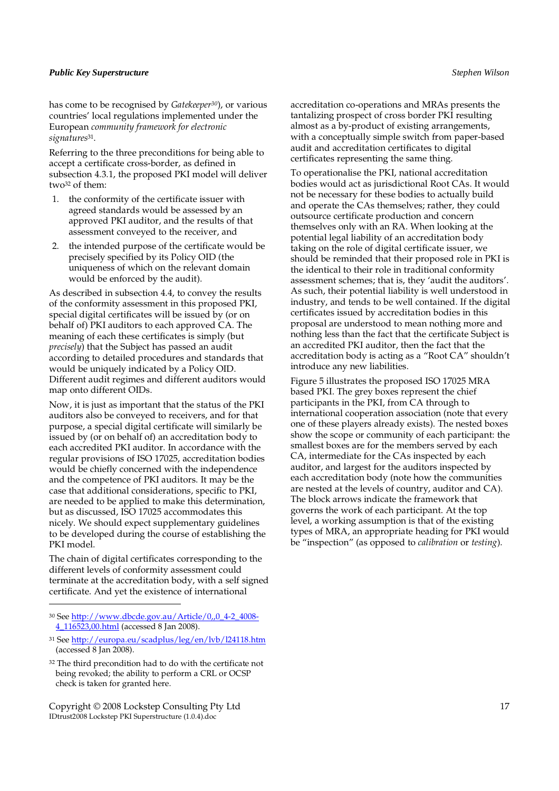has come to be recognised by *Gatekeeper30*), or various countries' local regulations implemented under the European *community framework for electronic signatures*<sup>31</sup> .

Referring to the three preconditions for being able to accept a certificate cross-border, as defined in subsection 4.3.1, the proposed PKI model will deliver two32 of them:

- 1. the conformity of the certificate issuer with agreed standards would be assessed by an approved PKI auditor, and the results of that assessment conveyed to the receiver, and
- 2. the intended purpose of the certificate would be precisely specified by its Policy OID (the uniqueness of which on the relevant domain would be enforced by the audit).

As described in subsection 4.4, to convey the results of the conformity assessment in this proposed PKI, special digital certificates will be issued by (or on behalf of) PKI auditors to each approved CA. The meaning of each these certificates is simply (but *precisely*) that the Subject has passed an audit according to detailed procedures and standards that would be uniquely indicated by a Policy OID. Different audit regimes and different auditors would map onto different OIDs.

Now, it is just as important that the status of the PKI auditors also be conveyed to receivers, and for that purpose, a special digital certificate will similarly be issued by (or on behalf of) an accreditation body to each accredited PKI auditor. In accordance with the regular provisions of ISO 17025, accreditation bodies would be chiefly concerned with the independence and the competence of PKI auditors. It may be the case that additional considerations, specific to PKI, are needed to be applied to make this determination, but as discussed, ISO 17025 accommodates this nicely. We should expect supplementary guidelines to be developed during the course of establishing the PKI model.

The chain of digital certificates corresponding to the different levels of conformity assessment could terminate at the accreditation body, with a self signed certificate. And yet the existence of international

 $\overline{a}$ 

Copyright © 2008 Lockstep Consulting Pty Ltd 17 IDtrust2008 Lockstep PKI Superstructure (1.0.4).doc

accreditation co-operations and MRAs presents the tantalizing prospect of cross border PKI resulting almost as a by-product of existing arrangements, with a conceptually simple switch from paper-based audit and accreditation certificates to digital certificates representing the same thing.

To operationalise the PKI, national accreditation bodies would act as jurisdictional Root CAs. It would not be necessary for these bodies to actually build and operate the CAs themselves; rather, they could outsource certificate production and concern themselves only with an RA. When looking at the potential legal liability of an accreditation body taking on the role of digital certificate issuer, we should be reminded that their proposed role in PKI is the identical to their role in traditional conformity assessment schemes; that is, they 'audit the auditors'. As such, their potential liability is well understood in industry, and tends to be well contained. If the digital certificates issued by accreditation bodies in this proposal are understood to mean nothing more and nothing less than the fact that the certificate Subject is an accredited PKI auditor, then the fact that the accreditation body is acting as a "Root CA" shouldn't introduce any new liabilities.

Figure 5 illustrates the proposed ISO 17025 MRA based PKI. The grey boxes represent the chief participants in the PKI, from CA through to international cooperation association (note that every one of these players already exists). The nested boxes show the scope or community of each participant: the smallest boxes are for the members served by each CA, intermediate for the CAs inspected by each auditor, and largest for the auditors inspected by each accreditation body (note how the communities are nested at the levels of country, auditor and CA). The block arrows indicate the framework that governs the work of each participant. At the top level, a working assumption is that of the existing types of MRA, an appropriate heading for PKI would be "inspection" (as opposed to *calibration* or *testing*).

<sup>30</sup> See http://www.dbcde.gov.au/Article/0,,0\_4-2\_4008- 4\_116523,00.html (accessed 8 Jan 2008).

<sup>31</sup> See http://europa.eu/scadplus/leg/en/lvb/l24118.htm (accessed 8 Jan 2008).

<sup>32</sup> The third precondition had to do with the certificate not being revoked; the ability to perform a CRL or OCSP check is taken for granted here.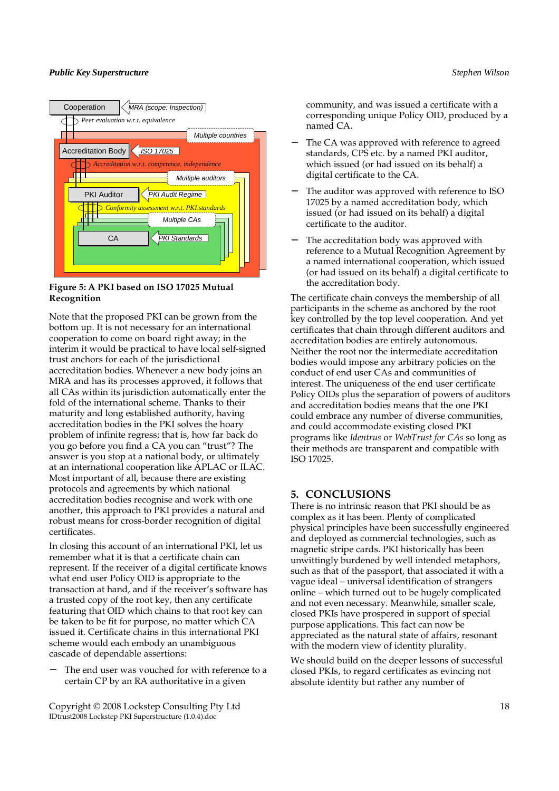

**Figure 5: A PKI based on ISO 17025 Mutual Recognition** 

Note that the proposed PKI can be grown from the bottom up. It is not necessary for an international cooperation to come on board right away; in the interim it would be practical to have local self-signed trust anchors for each of the jurisdictional accreditation bodies. Whenever a new body joins an MRA and has its processes approved, it follows that all CAs within its jurisdiction automatically enter the fold of the international scheme. Thanks to their maturity and long established authority, having accreditation bodies in the PKI solves the hoary problem of infinite regress; that is, how far back do you go before you find a CA you can "trust"? The answer is you stop at a national body, or ultimately at an international cooperation like APLAC or ILAC. Most important of all, because there are existing protocols and agreements by which national accreditation bodies recognise and work with one another, this approach to PKI provides a natural and robust means for cross-border recognition of digital certificates.

In closing this account of an international PKI, let us remember what it is that a certificate chain can represent. If the receiver of a digital certificate knows what end user Policy OID is appropriate to the transaction at hand, and if the receiver's software has a trusted copy of the root key, then any certificate featuring that OID which chains to that root key can be taken to be fit for purpose, no matter which CA issued it. Certificate chains in this international PKI scheme would each embody an unambiguous cascade of dependable assertions:

The end user was vouched for with reference to a certain CP by an RA authoritative in a given

Copyright © 2008 Lockstep Consulting Pty Ltd 18 IDtrust2008 Lockstep PKI Superstructure (1.0.4).doc

community, and was issued a certificate with a corresponding unique Policy OID, produced by a named CA.

- The CA was approved with reference to agreed standards, CPS etc. by a named PKI auditor, which issued (or had issued on its behalf) a digital certificate to the CA.
- The auditor was approved with reference to ISO 17025 by a named accreditation body, which issued (or had issued on its behalf) a digital certificate to the auditor.
- The accreditation body was approved with reference to a Mutual Recognition Agreement by a named international cooperation, which issued (or had issued on its behalf) a digital certificate to the accreditation body.

The certificate chain conveys the membership of all participants in the scheme as anchored by the root key controlled by the top level cooperation. And yet certificates that chain through different auditors and accreditation bodies are entirely autonomous. Neither the root nor the intermediate accreditation bodies would impose any arbitrary policies on the conduct of end user CAs and communities of interest. The uniqueness of the end user certificate Policy OIDs plus the separation of powers of auditors and accreditation bodies means that the one PKI could embrace any number of diverse communities, and could accommodate existing closed PKI programs like *Identrus* or *WebTrust for CAs* so long as their methods are transparent and compatible with ISO 17025.

# **5. CONCLUSIONS**

There is no intrinsic reason that PKI should be as complex as it has been. Plenty of complicated physical principles have been successfully engineered and deployed as commercial technologies, such as magnetic stripe cards. PKI historically has been unwittingly burdened by well intended metaphors, such as that of the passport, that associated it with a vague ideal – universal identification of strangers online – which turned out to be hugely complicated and not even necessary. Meanwhile, smaller scale, closed PKIs have prospered in support of special purpose applications. This fact can now be appreciated as the natural state of affairs, resonant with the modern view of identity plurality.

We should build on the deeper lessons of successful closed PKIs, to regard certificates as evincing not absolute identity but rather any number of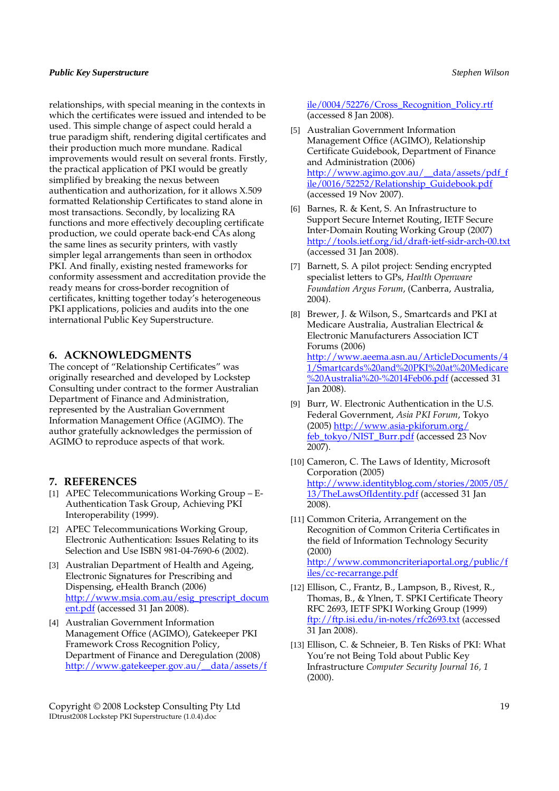relationships, with special meaning in the contexts in which the certificates were issued and intended to be used. This simple change of aspect could herald a true paradigm shift, rendering digital certificates and their production much more mundane. Radical improvements would result on several fronts. Firstly, the practical application of PKI would be greatly simplified by breaking the nexus between authentication and authorization, for it allows X.509 formatted Relationship Certificates to stand alone in most transactions. Secondly, by localizing RA functions and more effectively decoupling certificate production, we could operate back-end CAs along the same lines as security printers, with vastly simpler legal arrangements than seen in orthodox PKI. And finally, existing nested frameworks for conformity assessment and accreditation provide the ready means for cross-border recognition of certificates, knitting together today's heterogeneous PKI applications, policies and audits into the one international Public Key Superstructure.

### **6. ACKNOWLEDGMENTS**

The concept of "Relationship Certificates" was originally researched and developed by Lockstep Consulting under contract to the former Australian Department of Finance and Administration, represented by the Australian Government Information Management Office (AGIMO). The author gratefully acknowledges the permission of AGIMO to reproduce aspects of that work.

### **7. REFERENCES**

- [1] APEC Telecommunications Working Group E-Authentication Task Group, Achieving PKI Interoperability (1999).
- [2] APEC Telecommunications Working Group, Electronic Authentication: Issues Relating to its Selection and Use ISBN 981-04-7690-6 (2002).
- [3] Australian Department of Health and Ageing, Electronic Signatures for Prescribing and Dispensing, eHealth Branch (2006) http://www.msia.com.au/esig\_prescript\_docum ent.pdf (accessed 31 Jan 2008).
- [4] Australian Government Information Management Office (AGIMO), Gatekeeper PKI Framework Cross Recognition Policy, Department of Finance and Deregulation (2008) http://www.gatekeeper.gov.au/\_\_data/assets/f

Copyright © 2008 Lockstep Consulting Pty Ltd 19 IDtrust2008 Lockstep PKI Superstructure (1.0.4).doc

ile/0004/52276/Cross\_Recognition\_Policy.rtf (accessed 8 Jan 2008).

- [5] Australian Government Information Management Office (AGIMO), Relationship Certificate Guidebook, Department of Finance and Administration (2006) http://www.agimo.gov.au/\_\_data/assets/pdf\_f ile/0016/52252/Relationship\_Guidebook.pdf (accessed 19 Nov 2007).
- [6] Barnes, R. & Kent, S. An Infrastructure to Support Secure Internet Routing, IETF Secure Inter-Domain Routing Working Group (2007) http://tools.ietf.org/id/draft-ietf-sidr-arch-00.txt (accessed 31 Jan 2008).
- [7] Barnett, S. A pilot project: Sending encrypted specialist letters to GPs, *Health Openware Foundation Argus Forum*, (Canberra, Australia, 2004).
- [8] Brewer, J. & Wilson, S., Smartcards and PKI at Medicare Australia, Australian Electrical & Electronic Manufacturers Association ICT Forums (2006) http://www.aeema.asn.au/ArticleDocuments/4 1/Smartcards%20and%20PKI%20at%20Medicare %20Australia%20-%2014Feb06.pdf (accessed 31 Jan 2008).
- [9] Burr, W. Electronic Authentication in the U.S. Federal Government, *Asia PKI Forum*, Tokyo (2005) http://www.asia-pkiforum.org/ feb\_tokyo/NIST\_Burr.pdf (accessed 23 Nov 2007).
- [10] Cameron, C. The Laws of Identity, Microsoft Corporation (2005) http://www.identityblog.com/stories/2005/05/ 13/TheLawsOfIdentity.pdf (accessed 31 Jan 2008).
- [11] Common Criteria, Arrangement on the Recognition of Common Criteria Certificates in the field of Information Technology Security (2000) http://www.commoncriteriaportal.org/public/f iles/cc-recarrange.pdf
- [12] Ellison, C., Frantz, B., Lampson, B., Rivest, R., Thomas, B., & Ylnen, T. SPKI Certificate Theory RFC 2693, IETF SPKI Working Group (1999) ftp://ftp.isi.edu/in-notes/rfc2693.txt (accessed 31 Jan 2008).
- [13] Ellison, C. & Schneier, B. Ten Risks of PKI: What You're not Being Told about Public Key Infrastructure *Computer Security Journal 16, 1* (2000).